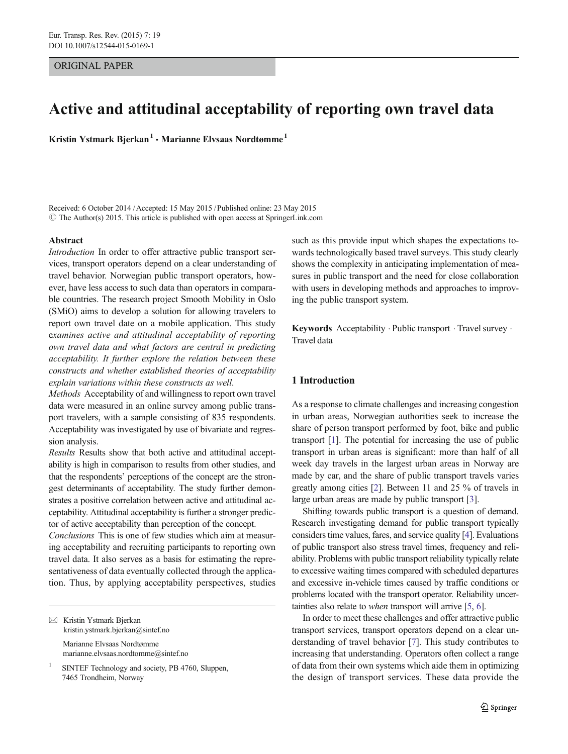## ORIGINAL PAPER

# Active and attitudinal acceptability of reporting own travel data

Kristin Ystmark Bjerkan<sup>1</sup> · Marianne Elvsaas Nordtømme<sup>1</sup>

Received: 6 October 2014 /Accepted: 15 May 2015 /Published online: 23 May 2015 © The Author(s) 2015. This article is published with open access at SpringerLink.com

#### Abstract

Introduction In order to offer attractive public transport services, transport operators depend on a clear understanding of travel behavior. Norwegian public transport operators, however, have less access to such data than operators in comparable countries. The research project Smooth Mobility in Oslo (SMiO) aims to develop a solution for allowing travelers to report own travel date on a mobile application. This study examines active and attitudinal acceptability of reporting own travel data and what factors are central in predicting acceptability. It further explore the relation between these constructs and whether established theories of acceptability explain variations within these constructs as well.

Methods Acceptability of and willingness to report own travel data were measured in an online survey among public transport travelers, with a sample consisting of 835 respondents. Acceptability was investigated by use of bivariate and regression analysis.

Results Results show that both active and attitudinal acceptability is high in comparison to results from other studies, and that the respondents' perceptions of the concept are the strongest determinants of acceptability. The study further demonstrates a positive correlation between active and attitudinal acceptability. Attitudinal acceptability is further a stronger predictor of active acceptability than perception of the concept.

Conclusions This is one of few studies which aim at measuring acceptability and recruiting participants to reporting own travel data. It also serves as a basis for estimating the representativeness of data eventually collected through the application. Thus, by applying acceptability perspectives, studies

 $\boxtimes$  Kristin Ystmark Bjerkan kristin.ystmark.bjerkan@sintef.no Marianne Elvsaas Nordtømme

marianne.elvsaas.nordtomme@sintef.no

SINTEF Technology and society, PB 4760, Sluppen, 7465 Trondheim, Norway

such as this provide input which shapes the expectations towards technologically based travel surveys. This study clearly shows the complexity in anticipating implementation of measures in public transport and the need for close collaboration with users in developing methods and approaches to improving the public transport system.

Keywords Acceptability . Public transport . Travel survey . Travel data

# 1 Introduction

As a response to climate challenges and increasing congestion in urban areas, Norwegian authorities seek to increase the share of person transport performed by foot, bike and public transport [\[1](#page-11-0)]. The potential for increasing the use of public transport in urban areas is significant: more than half of all week day travels in the largest urban areas in Norway are made by car, and the share of public transport travels varies greatly among cities [\[2\]](#page-11-0). Between 11 and 25 % of travels in large urban areas are made by public transport [\[3](#page-11-0)].

Shifting towards public transport is a question of demand. Research investigating demand for public transport typically considers time values, fares, and service quality [[4](#page-11-0)]. Evaluations of public transport also stress travel times, frequency and reliability. Problems with public transport reliability typically relate to excessive waiting times compared with scheduled departures and excessive in-vehicle times caused by traffic conditions or problems located with the transport operator. Reliability uncertainties also relate to when transport will arrive [\[5,](#page-11-0) [6\]](#page-11-0).

In order to meet these challenges and offer attractive public transport services, transport operators depend on a clear understanding of travel behavior [[7](#page-11-0)]. This study contributes to increasing that understanding. Operators often collect a range of data from their own systems which aide them in optimizing the design of transport services. These data provide the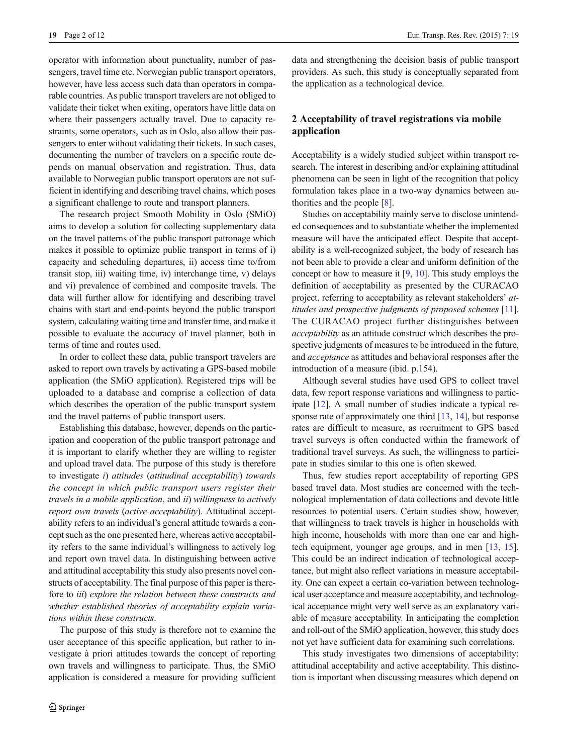operator with information about punctuality, number of passengers, travel time etc. Norwegian public transport operators, however, have less access such data than operators in comparable countries. As public transport travelers are not obliged to validate their ticket when exiting, operators have little data on where their passengers actually travel. Due to capacity restraints, some operators, such as in Oslo, also allow their passengers to enter without validating their tickets. In such cases, documenting the number of travelers on a specific route depends on manual observation and registration. Thus, data available to Norwegian public transport operators are not sufficient in identifying and describing travel chains, which poses a significant challenge to route and transport planners.

The research project Smooth Mobility in Oslo (SMiO) aims to develop a solution for collecting supplementary data on the travel patterns of the public transport patronage which makes it possible to optimize public transport in terms of i) capacity and scheduling departures, ii) access time to/from transit stop, iii) waiting time, iv) interchange time, v) delays and vi) prevalence of combined and composite travels. The data will further allow for identifying and describing travel chains with start and end-points beyond the public transport system, calculating waiting time and transfer time, and make it possible to evaluate the accuracy of travel planner, both in terms of time and routes used.

In order to collect these data, public transport travelers are asked to report own travels by activating a GPS-based mobile application (the SMiO application). Registered trips will be uploaded to a database and comprise a collection of data which describes the operation of the public transport system and the travel patterns of public transport users.

Establishing this database, however, depends on the participation and cooperation of the public transport patronage and it is important to clarify whether they are willing to register and upload travel data. The purpose of this study is therefore to investigate i) attitudes (attitudinal acceptability) towards the concept in which public transport users register their travels in a mobile application, and ii) willingness to actively report own travels (active acceptability). Attitudinal acceptability refers to an individual's general attitude towards a concept such as the one presented here, whereas active acceptability refers to the same individual's willingness to actively log and report own travel data. In distinguishing between active and attitudinal acceptability this study also presents novel constructs of acceptability. The final purpose of this paper is therefore to iii) explore the relation between these constructs and whether established theories of acceptability explain variations within these constructs.

The purpose of this study is therefore not to examine the user acceptance of this specific application, but rather to investigate à priori attitudes towards the concept of reporting own travels and willingness to participate. Thus, the SMiO application is considered a measure for providing sufficient

data and strengthening the decision basis of public transport providers. As such, this study is conceptually separated from the application as a technological device.

# 2 Acceptability of travel registrations via mobile application

Acceptability is a widely studied subject within transport research. The interest in describing and/or explaining attitudinal phenomena can be seen in light of the recognition that policy formulation takes place in a two-way dynamics between authorities and the people [\[8\]](#page-11-0).

Studies on acceptability mainly serve to disclose unintended consequences and to substantiate whether the implemented measure will have the anticipated effect. Despite that acceptability is a well-recognized subject, the body of research has not been able to provide a clear and uniform definition of the concept or how to measure it [\[9](#page-11-0), [10\]](#page-11-0). This study employs the definition of acceptability as presented by the CURACAO project, referring to acceptability as relevant stakeholders' attitudes and prospective judgments of proposed schemes [\[11\]](#page-11-0). The CURACAO project further distinguishes between acceptability as an attitude construct which describes the prospective judgments of measures to be introduced in the future, and acceptance as attitudes and behavioral responses after the introduction of a measure (ibid. p.154).

Although several studies have used GPS to collect travel data, few report response variations and willingness to participate [[12](#page-11-0)]. A small number of studies indicate a typical re-sponse rate of approximately one third [\[13](#page-11-0), [14\]](#page-11-0), but response rates are difficult to measure, as recruitment to GPS based travel surveys is often conducted within the framework of traditional travel surveys. As such, the willingness to participate in studies similar to this one is often skewed.

Thus, few studies report acceptability of reporting GPS based travel data. Most studies are concerned with the technological implementation of data collections and devote little resources to potential users. Certain studies show, however, that willingness to track travels is higher in households with high income, households with more than one car and hightech equipment, younger age groups, and in men [[13,](#page-11-0) [15\]](#page-11-0). This could be an indirect indication of technological acceptance, but might also reflect variations in measure acceptability. One can expect a certain co-variation between technological user acceptance and measure acceptability, and technological acceptance might very well serve as an explanatory variable of measure acceptability. In anticipating the completion and roll-out of the SMiO application, however, this study does not yet have sufficient data for examining such correlations.

This study investigates two dimensions of acceptability: attitudinal acceptability and active acceptability. This distinction is important when discussing measures which depend on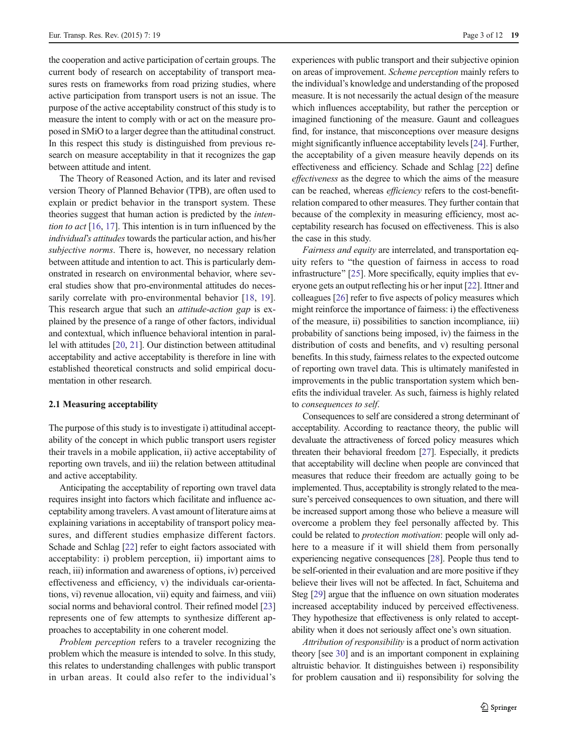the cooperation and active participation of certain groups. The current body of research on acceptability of transport measures rests on frameworks from road prizing studies, where active participation from transport users is not an issue. The purpose of the active acceptability construct of this study is to measure the intent to comply with or act on the measure proposed in SMiO to a larger degree than the attitudinal construct. In this respect this study is distinguished from previous research on measure acceptability in that it recognizes the gap between attitude and intent.

The Theory of Reasoned Action, and its later and revised version Theory of Planned Behavior (TPB), are often used to explain or predict behavior in the transport system. These theories suggest that human action is predicted by the intention to act [\[16,](#page-11-0) [17](#page-11-0)]. This intention is in turn influenced by the individual's attitudes towards the particular action, and his/her subjective norms. There is, however, no necessary relation between attitude and intention to act. This is particularly demonstrated in research on environmental behavior, where several studies show that pro-environmental attitudes do neces-sarily correlate with pro-environmental behavior [[18,](#page-11-0) [19](#page-11-0)]. This research argue that such an *attitude-action gap* is explained by the presence of a range of other factors, individual and contextual, which influence behavioral intention in parallel with attitudes [\[20](#page-11-0), [21\]](#page-11-0). Our distinction between attitudinal acceptability and active acceptability is therefore in line with established theoretical constructs and solid empirical documentation in other research.

### 2.1 Measuring acceptability

The purpose of this study is to investigate i) attitudinal acceptability of the concept in which public transport users register their travels in a mobile application, ii) active acceptability of reporting own travels, and iii) the relation between attitudinal and active acceptability.

Anticipating the acceptability of reporting own travel data requires insight into factors which facilitate and influence acceptability among travelers. A vast amount of literature aims at explaining variations in acceptability of transport policy measures, and different studies emphasize different factors. Schade and Schlag [\[22](#page-11-0)] refer to eight factors associated with acceptability: i) problem perception, ii) important aims to reach, iii) information and awareness of options, iv) perceived effectiveness and efficiency, v) the individuals car-orientations, vi) revenue allocation, vii) equity and fairness, and viii) social norms and behavioral control. Their refined model [\[23\]](#page-11-0) represents one of few attempts to synthesize different approaches to acceptability in one coherent model.

Problem perception refers to a traveler recognizing the problem which the measure is intended to solve. In this study, this relates to understanding challenges with public transport in urban areas. It could also refer to the individual's experiences with public transport and their subjective opinion on areas of improvement. Scheme perception mainly refers to the individual's knowledge and understanding of the proposed measure. It is not necessarily the actual design of the measure which influences acceptability, but rather the perception or imagined functioning of the measure. Gaunt and colleagues find, for instance, that misconceptions over measure designs might significantly influence acceptability levels [[24](#page-11-0)]. Further, the acceptability of a given measure heavily depends on its effectiveness and efficiency. Schade and Schlag [[22](#page-11-0)] define effectiveness as the degree to which the aims of the measure can be reached, whereas efficiency refers to the cost-benefitrelation compared to other measures. They further contain that because of the complexity in measuring efficiency, most acceptability research has focused on effectiveness. This is also the case in this study.

Fairness and equity are interrelated, and transportation equity refers to "the question of fairness in access to road infrastructure"  $[25]$  $[25]$ . More specifically, equity implies that everyone gets an output reflecting his or her input [\[22](#page-11-0)]. Ittner and colleagues [\[26](#page-11-0)] refer to five aspects of policy measures which might reinforce the importance of fairness: i) the effectiveness of the measure, ii) possibilities to sanction incompliance, iii) probability of sanctions being imposed, iv) the fairness in the distribution of costs and benefits, and v) resulting personal benefits. In this study, fairness relates to the expected outcome of reporting own travel data. This is ultimately manifested in improvements in the public transportation system which benefits the individual traveler. As such, fairness is highly related to consequences to self.

Consequences to self are considered a strong determinant of acceptability. According to reactance theory, the public will devaluate the attractiveness of forced policy measures which threaten their behavioral freedom [\[27](#page-11-0)]. Especially, it predicts that acceptability will decline when people are convinced that measures that reduce their freedom are actually going to be implemented. Thus, acceptability is strongly related to the measure's perceived consequences to own situation, and there will be increased support among those who believe a measure will overcome a problem they feel personally affected by. This could be related to protection motivation: people will only adhere to a measure if it will shield them from personally experiencing negative consequences [[28](#page-11-0)]. People thus tend to be self-oriented in their evaluation and are more positive if they believe their lives will not be affected. In fact, Schuitema and Steg [\[29\]](#page-11-0) argue that the influence on own situation moderates increased acceptability induced by perceived effectiveness. They hypothesize that effectiveness is only related to acceptability when it does not seriously affect one's own situation.

Attribution of responsibility is a product of norm activation theory [see [30\]](#page-11-0) and is an important component in explaining altruistic behavior. It distinguishes between i) responsibility for problem causation and ii) responsibility for solving the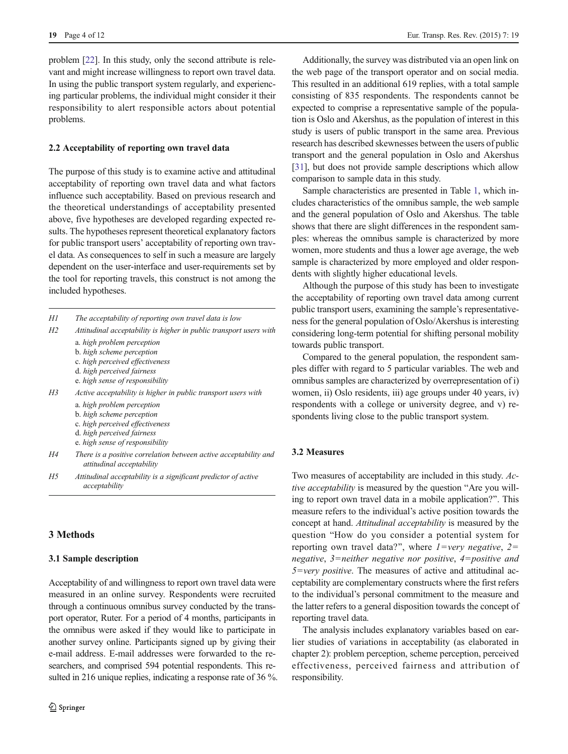problem [[22](#page-11-0)]. In this study, only the second attribute is relevant and might increase willingness to report own travel data. In using the public transport system regularly, and experiencing particular problems, the individual might consider it their responsibility to alert responsible actors about potential problems.

#### 2.2 Acceptability of reporting own travel data

The purpose of this study is to examine active and attitudinal acceptability of reporting own travel data and what factors influence such acceptability. Based on previous research and the theoretical understandings of acceptability presented above, five hypotheses are developed regarding expected results. The hypotheses represent theoretical explanatory factors for public transport users' acceptability of reporting own travel data. As consequences to self in such a measure are largely dependent on the user-interface and user-requirements set by the tool for reporting travels, this construct is not among the included hypotheses.

| HI             | The acceptability of reporting own travel data is low                                                                                                                                                                        |
|----------------|------------------------------------------------------------------------------------------------------------------------------------------------------------------------------------------------------------------------------|
| H <sub>2</sub> | Attitudinal acceptability is higher in public transport users with                                                                                                                                                           |
|                | a. high problem perception<br>b. high scheme perception<br>c. high perceived effectiveness<br>d. high perceived fairness<br>e. high sense of responsibility                                                                  |
| H3             | Active acceptability is higher in public transport users with<br>a. high problem perception<br>b. high scheme perception<br>c. high perceived effectiveness<br>d. high perceived fairness<br>e. high sense of responsibility |
| Η4             | There is a positive correlation between active acceptability and<br>attitudinal acceptability                                                                                                                                |
| H5             | Attitudinal acceptability is a significant predictor of active<br>acceptability                                                                                                                                              |

## 3 Methods

## 3.1 Sample description

Acceptability of and willingness to report own travel data were measured in an online survey. Respondents were recruited through a continuous omnibus survey conducted by the transport operator, Ruter. For a period of 4 months, participants in the omnibus were asked if they would like to participate in another survey online. Participants signed up by giving their e-mail address. E-mail addresses were forwarded to the researchers, and comprised 594 potential respondents. This resulted in 216 unique replies, indicating a response rate of 36 %.

Additionally, the survey was distributed via an open link on the web page of the transport operator and on social media. This resulted in an additional 619 replies, with a total sample consisting of 835 respondents. The respondents cannot be expected to comprise a representative sample of the population is Oslo and Akershus, as the population of interest in this study is users of public transport in the same area. Previous research has described skewnesses between the users of public transport and the general population in Oslo and Akershus [\[31](#page-11-0)], but does not provide sample descriptions which allow comparison to sample data in this study.

Sample characteristics are presented in Table [1](#page-4-0), which includes characteristics of the omnibus sample, the web sample and the general population of Oslo and Akershus. The table shows that there are slight differences in the respondent samples: whereas the omnibus sample is characterized by more women, more students and thus a lower age average, the web sample is characterized by more employed and older respondents with slightly higher educational levels.

Although the purpose of this study has been to investigate the acceptability of reporting own travel data among current public transport users, examining the sample's representativeness for the general population of Oslo/Akershus is interesting considering long-term potential for shifting personal mobility towards public transport.

Compared to the general population, the respondent samples differ with regard to 5 particular variables. The web and omnibus samples are characterized by overrepresentation of i) women, ii) Oslo residents, iii) age groups under 40 years, iv) respondents with a college or university degree, and v) respondents living close to the public transport system.

# 3.2 Measures

Two measures of acceptability are included in this study. Active acceptability is measured by the question "Are you willing to report own travel data in a mobile application?". This measure refers to the individual's active position towards the concept at hand. Attitudinal acceptability is measured by the question "How do you consider a potential system for reporting own travel data?", where  $1=very$  negative,  $2=$ negative, 3=neither negative nor positive, 4=positive and  $5=$ very positive. The measures of active and attitudinal acceptability are complementary constructs where the first refers to the individual's personal commitment to the measure and the latter refers to a general disposition towards the concept of reporting travel data.

The analysis includes explanatory variables based on earlier studies of variations in acceptability (as elaborated in chapter 2): problem perception, scheme perception, perceived effectiveness, perceived fairness and attribution of responsibility.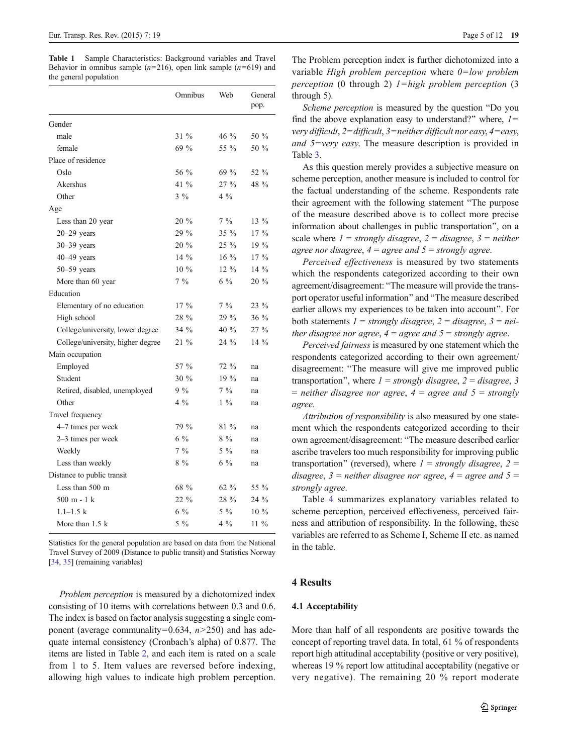<span id="page-4-0"></span>Table 1 Sample Characteristics: Background variables and Travel Behavior in omnibus sample  $(n=216)$ , open link sample  $(n=619)$  and the general population

|                                   | Omnibus        | Web            | General<br>pop. |
|-----------------------------------|----------------|----------------|-----------------|
| Gender                            |                |                |                 |
| male                              | $31\%$         | $46\%$         | 50 %            |
| female                            | 69 %           | 55 %           | 50 %            |
| Place of residence                |                |                |                 |
| Oslo                              | 56 %           | 69 $%$         | 52 %            |
| Akershus                          | 41 %           | $27\%$         | 48 %            |
| Other                             | $3\%$          | $4\%$          |                 |
| Age                               |                |                |                 |
| Less than 20 year                 | $20\%$         | $7\frac{9}{6}$ | $13\%$          |
| $20 - 29$ years                   | 29 %           | 35 %           | $17\%$          |
| $30 - 39$ years                   | $20\%$         | $25\%$         | $19\%$          |
| $40-49$ years                     | $14\%$         | $16\%$         | $17\%$          |
| $50 - 59$ years                   | $10\%$         | $12\%$         | 14 %            |
| More than 60 year                 | $7\frac{9}{6}$ | $6\%$          | 20 %            |
| Education                         |                |                |                 |
| Elementary of no education        | 17 %           | $7\%$          | 23 %            |
| High school                       | 28 %           | 29 %           | 36 %            |
| College/university, lower degree  | 34 %           | 40 %           | 27 %            |
| College/university, higher degree | $21\%$         | $24\%$         | $14\%$          |
| Main occupation                   |                |                |                 |
| Employed                          | 57 %           | $72\%$         | na              |
| Student                           | 30 %           | $19\%$         | na              |
| Retired, disabled, unemployed     | $9\%$          | $7\frac{0}{0}$ | na              |
| Other                             | $4\%$          | $1\frac{0}{0}$ | na              |
| Travel frequency                  |                |                |                 |
| 4-7 times per week                | 79 %           | 81 %           | na              |
| 2–3 times per week                | $6\%$          | $8\%$          | na              |
| Weekly                            | $7\%$          | $5\%$          | na              |
| Less than weekly                  | $8\%$          | $6\%$          | na              |
| Distance to public transit        |                |                |                 |
| Less than 500 m                   | 68 %           | 62 %           | 55 %            |
| $500 m - 1 k$                     | $22\%$         | 28 %           | 24 %            |
| $1.1 - 1.5$ k                     | $6\%$          | $5\%$          | $10\%$          |
| More than $1.5 \text{ k}$         | $5\%$          | $4\%$          | $11\%$          |
|                                   |                |                |                 |

Statistics for the general population are based on data from the National Travel Survey of 2009 (Distance to public transit) and Statistics Norway [[34,](#page-11-0) [35](#page-11-0)] (remaining variables)

Problem perception is measured by a dichotomized index consisting of 10 items with correlations between 0.3 and 0.6. The index is based on factor analysis suggesting a single component (average communality=0.634,  $n>250$ ) and has adequate internal consistency (Cronbach's alpha) of 0.877. The items are listed in Table [2,](#page-5-0) and each item is rated on a scale from 1 to 5. Item values are reversed before indexing, allowing high values to indicate high problem perception.

The Problem perception index is further dichotomized into a variable High problem perception where  $0=$ low problem perception (0 through 2)  $1 = high$  problem perception (3) through 5).

Scheme perception is measured by the question "Do you find the above explanation easy to understand?" where,  $1=$ very difficult,  $2 =$  difficult,  $3 =$  neither difficult nor easy,  $4 =$  easy, and 5=very easy. The measure description is provided in Table [3](#page-5-0).

As this question merely provides a subjective measure on scheme perception, another measure is included to control for the factual understanding of the scheme. Respondents rate their agreement with the following statement "The purpose of the measure described above is to collect more precise information about challenges in public transportation", on a scale where  $1 =$  strongly disagree,  $2 =$  disagree,  $3 =$  neither agree nor disagree,  $4 =$  agree and  $5 =$  strongly agree.

Perceived effectiveness is measured by two statements which the respondents categorized according to their own agreement/disagreement: "The measure will provide the transport operator useful information" and "The measure described earlier allows my experiences to be taken into account^. For both statements  $1 =$  strongly disagree,  $2 =$  disagree,  $3 =$  neither disagree nor agree,  $4 =$  agree and  $5 =$  strongly agree.

Perceived fairness is measured by one statement which the respondents categorized according to their own agreement/ disagreement: "The measure will give me improved public transportation", where  $1 =$  strongly disagree,  $2 =$  disagree, 3 = neither disagree nor agree,  $4 =$  agree and  $5 =$  strongly agree.

Attribution of responsibility is also measured by one statement which the respondents categorized according to their own agreement/disagreement: "The measure described earlier ascribe travelers too much responsibility for improving public transportation" (reversed), where  $1 =$  strongly disagree,  $2 =$ disagree,  $3$  = neither disagree nor agree,  $4$  = agree and  $5$  = strongly agree.

Table [4](#page-6-0) summarizes explanatory variables related to scheme perception, perceived effectiveness, perceived fairness and attribution of responsibility. In the following, these variables are referred to as Scheme I, Scheme II etc. as named in the table.

## 4 Results

#### 4.1 Acceptability

More than half of all respondents are positive towards the concept of reporting travel data. In total, 61 % of respondents report high attitudinal acceptability (positive or very positive), whereas 19 % report low attitudinal acceptability (negative or very negative). The remaining 20 % report moderate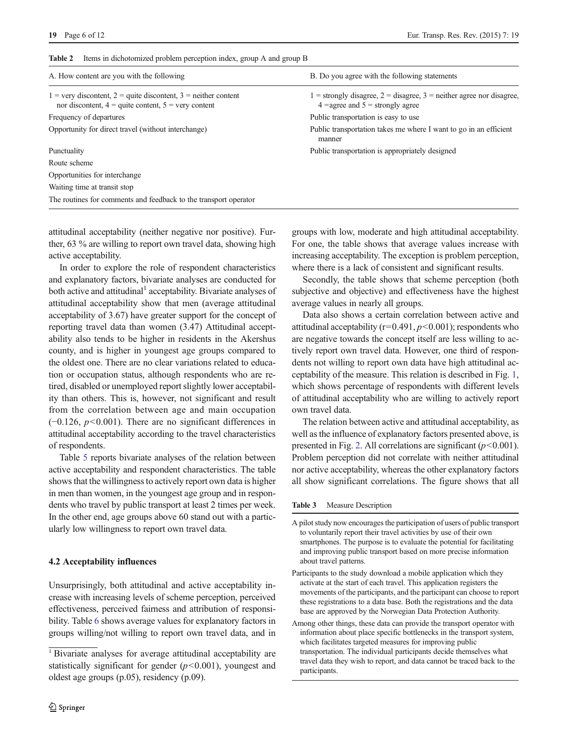| A. How content are you with the following                                                                                       | B. Do you agree with the following statements                                                                                    |
|---------------------------------------------------------------------------------------------------------------------------------|----------------------------------------------------------------------------------------------------------------------------------|
| $1 =$ very discontent, $2 =$ quite discontent, $3 =$ neither content<br>nor discontent, $4 =$ quite content, $5 =$ very content | $1 =$ strongly disagree, $2 =$ disagree, $3 =$ neither agree nor disagree,<br>$4 = \text{agree}$ and $5 = \text{strongly agree}$ |
| Frequency of departures                                                                                                         | Public transportation is easy to use                                                                                             |
| Opportunity for direct travel (without interchange)                                                                             | Public transportation takes me where I want to go in an efficient<br>manner                                                      |
| Punctuality                                                                                                                     | Public transportation is appropriately designed                                                                                  |
| Route scheme                                                                                                                    |                                                                                                                                  |
| Opportunities for interchange                                                                                                   |                                                                                                                                  |
| Waiting time at transit stop                                                                                                    |                                                                                                                                  |
| The routines for comments and feedback to the transport operator                                                                |                                                                                                                                  |

<span id="page-5-0"></span>

| <b>Table 2</b> | Items in dichotomized problem perception index, group A and group B |  |  |  |  |  |  |  |
|----------------|---------------------------------------------------------------------|--|--|--|--|--|--|--|
|----------------|---------------------------------------------------------------------|--|--|--|--|--|--|--|

attitudinal acceptability (neither negative nor positive). Further, 63 % are willing to report own travel data, showing high active acceptability.

In order to explore the role of respondent characteristics and explanatory factors, bivariate analyses are conducted for both active and attitudinal<sup>1</sup> acceptability. Bivariate analyses of attitudinal acceptability show that men (average attitudinal acceptability of 3.67) have greater support for the concept of reporting travel data than women (3.47) Attitudinal acceptability also tends to be higher in residents in the Akershus county, and is higher in youngest age groups compared to the oldest one. There are no clear variations related to education or occupation status, although respondents who are retired, disabled or unemployed report slightly lower acceptability than others. This is, however, not significant and result from the correlation between age and main occupation  $(-0.126, p<0.001)$ . There are no significant differences in attitudinal acceptability according to the travel characteristics of respondents.

Table [5](#page-6-0) reports bivariate analyses of the relation between active acceptability and respondent characteristics. The table shows that the willingness to actively report own data is higher in men than women, in the youngest age group and in respondents who travel by public transport at least 2 times per week. In the other end, age groups above 60 stand out with a particularly low willingness to report own travel data.

### 4.2 Acceptability influences

Unsurprisingly, both attitudinal and active acceptability increase with increasing levels of scheme perception, perceived effectiveness, perceived fairness and attribution of responsibility. Table [6](#page-7-0) shows average values for explanatory factors in groups willing/not willing to report own travel data, and in groups with low, moderate and high attitudinal acceptability. For one, the table shows that average values increase with increasing acceptability. The exception is problem perception, where there is a lack of consistent and significant results.

Secondly, the table shows that scheme perception (both subjective and objective) and effectiveness have the highest average values in nearly all groups.

Data also shows a certain correlation between active and attitudinal acceptability ( $r=0.491, p<0.001$ ); respondents who are negative towards the concept itself are less willing to actively report own travel data. However, one third of respondents not willing to report own data have high attitudinal acceptability of the measure. This relation is described in Fig. [1,](#page-7-0) which shows percentage of respondents with different levels of attitudinal acceptability who are willing to actively report own travel data.

The relation between active and attitudinal acceptability, as well as the influence of explanatory factors presented above, is presented in Fig. [2.](#page-8-0) All correlations are significant  $(p<0.001)$ . Problem perception did not correlate with neither attitudinal nor active acceptability, whereas the other explanatory factors all show significant correlations. The figure shows that all

Table 3 Measure Description

A pilot study now encourages the participation of users of public transport to voluntarily report their travel activities by use of their own smartphones. The purpose is to evaluate the potential for facilitating and improving public transport based on more precise information about travel patterns.

- Participants to the study download a mobile application which they activate at the start of each travel. This application registers the movements of the participants, and the participant can choose to report these registrations to a data base. Both the registrations and the data base are approved by the Norwegian Data Protection Authority.
- Among other things, these data can provide the transport operator with information about place specific bottlenecks in the transport system, which facilitates targeted measures for improving public transportation. The individual participants decide themselves what travel data they wish to report, and data cannot be traced back to the participants.

<sup>&</sup>lt;sup>1</sup> Bivariate analyses for average attitudinal acceptability are statistically significant for gender  $(p<0.001)$ , youngest and oldest age groups (p.05), residency (p.09).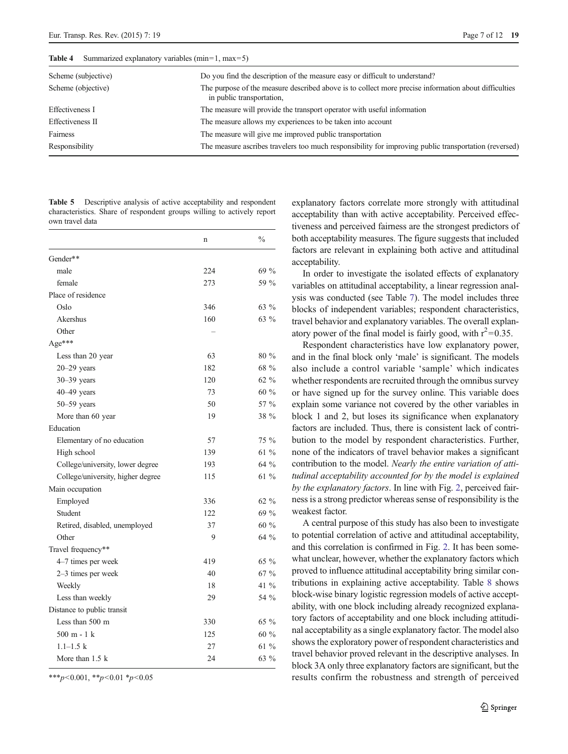| Scheme (subjective) | Do you find the description of the measure easy or difficult to understand?                                                       |
|---------------------|-----------------------------------------------------------------------------------------------------------------------------------|
| Scheme (objective)  | The purpose of the measure described above is to collect more precise information about difficulties<br>in public transportation. |
| Effectiveness I     | The measure will provide the transport operator with useful information                                                           |
| Effectiveness II    | The measure allows my experiences to be taken into account                                                                        |
| Fairness            | The measure will give me improved public transportation                                                                           |
| Responsibility      | The measure ascribes travelers too much responsibility for improving public transportation (reversed)                             |
|                     |                                                                                                                                   |

<span id="page-6-0"></span>**Table 4** Summarized explanatory variables ( $min=1$ ,  $max=5$ )

Table 5 Descriptive analysis of active acceptability and respondent characteristics. Share of respondent groups willing to actively report own travel data

|                                   | n   | $\frac{0}{0}$ |
|-----------------------------------|-----|---------------|
| Gender**                          |     |               |
| male                              | 224 | 69 %          |
| female                            | 273 | 59 %          |
| Place of residence                |     |               |
| Oslo                              | 346 | 63 %          |
| Akershus                          | 160 | 63 %          |
| Other                             |     |               |
| Age***                            |     |               |
| Less than 20 year                 | 63  | 80 %          |
| $20 - 29$ years                   | 182 | 68 %          |
| $30 - 39$ years                   | 120 | 62 %          |
| $40-49$ years                     | 73  | 60 %          |
| $50 - 59$ years                   | 50  | 57 %          |
| More than 60 year                 | 19  | 38 %          |
| Education                         |     |               |
| Elementary of no education        | 57  | 75 %          |
| High school                       | 139 | $61\%$        |
| College/university, lower degree  | 193 | 64 %          |
| College/university, higher degree | 115 | 61 $%$        |
| Main occupation                   |     |               |
| Employed                          | 336 | 62 %          |
| Student                           | 122 | 69 %          |
| Retired, disabled, unemployed     | 37  | 60 $%$        |
| Other                             | 9   | 64 %          |
| Travel frequency**                |     |               |
| 4–7 times per week                | 419 | 65 $%$        |
| 2–3 times per week                | 40  | 67 %          |
| Weekly                            | 18  | 41 %          |
| Less than weekly                  | 29  | 54 %          |
| Distance to public transit        |     |               |
| Less than 500 m                   | 330 | 65 %          |
| 500 m - 1 k                       | 125 | 60 %          |
| $1.1 - 1.5$ k                     | 27  | 61 $%$        |
| More than $1.5 \text{ k}$         | 24  | $63\%$        |

\*\*\*p<0.001, \*\*p<0.01 \*p<0.05

explanatory factors correlate more strongly with attitudinal acceptability than with active acceptability. Perceived effectiveness and perceived fairness are the strongest predictors of both acceptability measures. The figure suggests that included factors are relevant in explaining both active and attitudinal acceptability.

In order to investigate the isolated effects of explanatory variables on attitudinal acceptability, a linear regression analysis was conducted (see Table [7\)](#page-8-0). The model includes three blocks of independent variables; respondent characteristics, travel behavior and explanatory variables. The overall explanatory power of the final model is fairly good, with  $r^2 = 0.35$ .

Respondent characteristics have low explanatory power, and in the final block only 'male' is significant. The models also include a control variable 'sample' which indicates whether respondents are recruited through the omnibus survey or have signed up for the survey online. This variable does explain some variance not covered by the other variables in block 1 and 2, but loses its significance when explanatory factors are included. Thus, there is consistent lack of contribution to the model by respondent characteristics. Further, none of the indicators of travel behavior makes a significant contribution to the model. Nearly the entire variation of attitudinal acceptability accounted for by the model is explained by the explanatory factors. In line with Fig. [2,](#page-8-0) perceived fairness is a strong predictor whereas sense of responsibility is the weakest factor.

A central purpose of this study has also been to investigate to potential correlation of active and attitudinal acceptability, and this correlation is confirmed in Fig. [2.](#page-8-0) It has been somewhat unclear, however, whether the explanatory factors which proved to influence attitudinal acceptability bring similar contributions in explaining active acceptability. Table [8](#page-9-0) shows block-wise binary logistic regression models of active acceptability, with one block including already recognized explanatory factors of acceptability and one block including attitudinal acceptability as a single explanatory factor. The model also shows the exploratory power of respondent characteristics and travel behavior proved relevant in the descriptive analyses. In block 3A only three explanatory factors are significant, but the results confirm the robustness and strength of perceived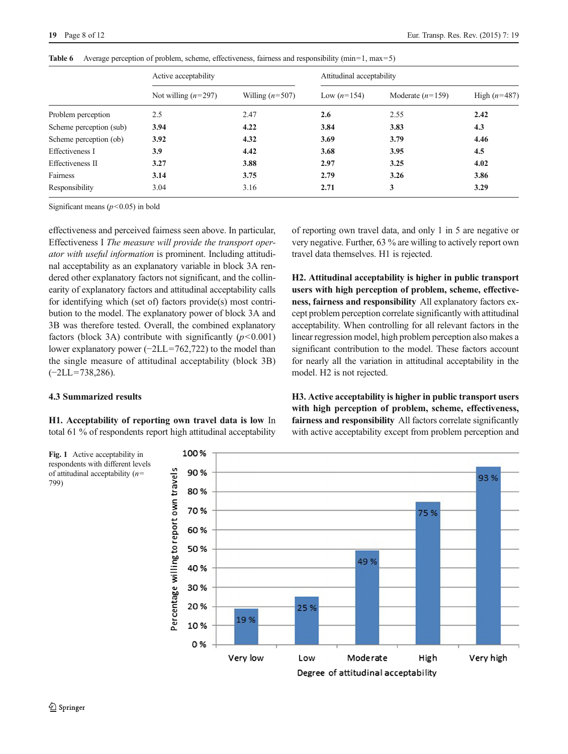|                         | Active acceptability  |                   | Attitudinal acceptability |                    |                |
|-------------------------|-----------------------|-------------------|---------------------------|--------------------|----------------|
|                         | Not willing $(n=297)$ | Willing $(n=507)$ | Low $(n=154)$             | Moderate $(n=159)$ | High $(n=487)$ |
| Problem perception      | 2.5                   | 2.47              | 2.6                       | 2.55               | 2.42           |
| Scheme perception (sub) | 3.94                  | 4.22              | 3.84                      | 3.83               | 4.3            |
| Scheme perception (ob)  | 3.92                  | 4.32              | 3.69                      | 3.79               | 4.46           |
| Effectiveness I         | 3.9                   | 4.42              | 3.68                      | 3.95               | 4.5            |
| <b>Effectiveness II</b> | 3.27                  | 3.88              | 2.97                      | 3.25               | 4.02           |
| Fairness                | 3.14                  | 3.75              | 2.79                      | 3.26               | 3.86           |
| Responsibility          | 3.04                  | 3.16              | 2.71                      | 3                  | 3.29           |

<span id="page-7-0"></span>Table 6 Average perception of problem, scheme, effectiveness, fairness and responsibility (min=1, max=5)

Significant means  $(p<0.05)$  in bold

effectiveness and perceived fairness seen above. In particular, Effectiveness I The measure will provide the transport operator with useful information is prominent. Including attitudinal acceptability as an explanatory variable in block 3A rendered other explanatory factors not significant, and the collinearity of explanatory factors and attitudinal acceptability calls for identifying which (set of) factors provide(s) most contribution to the model. The explanatory power of block 3A and 3B was therefore tested. Overall, the combined explanatory factors (block 3A) contribute with significantly  $(p<0.001)$ lower explanatory power (−2LL=762,722) to the model than the single measure of attitudinal acceptability (block 3B)  $(-2LL=738,286)$ .

# 4.3 Summarized results

H1. Acceptability of reporting own travel data is low In total 61 % of respondents report high attitudinal acceptability

of reporting own travel data, and only 1 in 5 are negative or very negative. Further, 63 % are willing to actively report own travel data themselves. H1 is rejected.

H2. Attitudinal acceptability is higher in public transport users with high perception of problem, scheme, effectiveness, fairness and responsibility All explanatory factors except problem perception correlate significantly with attitudinal acceptability. When controlling for all relevant factors in the linear regression model, high problem perception also makes a significant contribution to the model. These factors account for nearly all the variation in attitudinal acceptability in the model. H2 is not rejected.

H3. Active acceptability is higher in public transport users with high perception of problem, scheme, effectiveness, fairness and responsibility All factors correlate significantly with active acceptability except from problem perception and



799)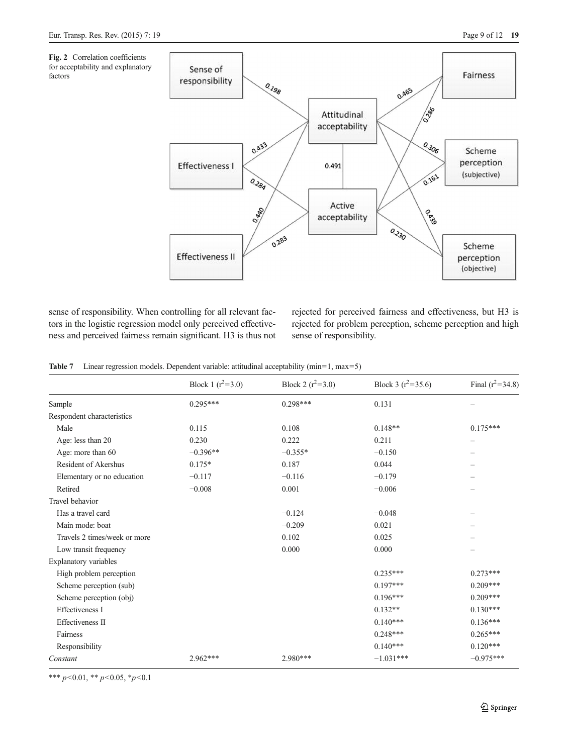factors

<span id="page-8-0"></span>

sense of responsibility. When controlling for all relevant factors in the logistic regression model only perceived effectiveness and perceived fairness remain significant. H3 is thus not rejected for perceived fairness and effectiveness, but H3 is rejected for problem perception, scheme perception and high sense of responsibility.

Table 7 Linear regression models. Dependent variable: attitudinal acceptability (min=1, max=5)

|                              | Block 1 $(r^2=3.0)$ | Block 2 $(r^2=3.0)$ | Block 3 $(r^2=35.6)$ | Final $(r^2=34.8)$ |
|------------------------------|---------------------|---------------------|----------------------|--------------------|
| Sample                       | $0.295***$          | $0.298***$          | 0.131                |                    |
| Respondent characteristics   |                     |                     |                      |                    |
| Male                         | 0.115               | 0.108               | $0.148**$            | $0.175***$         |
| Age: less than 20            | 0.230               | 0.222               | 0.211                |                    |
| Age: more than 60            | $-0.396**$          | $-0.355*$           | $-0.150$             |                    |
| Resident of Akershus         | $0.175*$            | 0.187               | 0.044                |                    |
| Elementary or no education   | $-0.117$            | $-0.116$            | $-0.179$             |                    |
| Retired                      | $-0.008$            | 0.001               | $-0.006$             |                    |
| Travel behavior              |                     |                     |                      |                    |
| Has a travel card            |                     | $-0.124$            | $-0.048$             |                    |
| Main mode: boat              |                     | $-0.209$            | 0.021                |                    |
| Travels 2 times/week or more |                     | 0.102               | 0.025                |                    |
| Low transit frequency        |                     | 0.000               | 0.000                |                    |
| Explanatory variables        |                     |                     |                      |                    |
| High problem perception      |                     |                     | $0.235***$           | $0.273***$         |
| Scheme perception (sub)      |                     |                     | $0.197***$           | $0.209***$         |
| Scheme perception (obj)      |                     |                     | $0.196***$           | $0.209***$         |
| Effectiveness I              |                     |                     | $0.132**$            | $0.130***$         |
| Effectiveness II             |                     |                     | $0.140***$           | $0.136***$         |
| Fairness                     |                     |                     | $0.248***$           | $0.265***$         |
| Responsibility               |                     |                     | $0.140***$           | $0.120***$         |
| Constant                     | $2.962***$          | 2.980***            | $-1.031***$          | $-0.975***$        |

\*\*\*  $p<0.01$ , \*\*  $p<0.05$ , \* $p<0.1$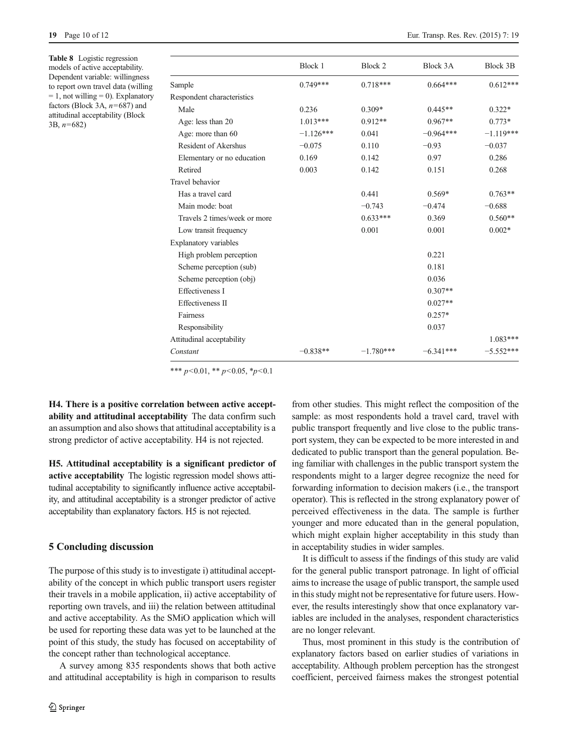<span id="page-9-0"></span>Table 8 Logistic regression models of active acceptability. Dependent variable: willingness to report own travel data (willing  $= 1$ , not willing  $= 0$ ). Explanatory factors (Block 3A,  $n=687$ ) and attitudinal acceptability (Block 3B, n=682)

|                              | Block 1     | Block 2     | Block 3A    | Block 3B    |
|------------------------------|-------------|-------------|-------------|-------------|
| Sample                       | $0.749***$  | $0.718***$  | $0.664***$  | $0.612***$  |
| Respondent characteristics   |             |             |             |             |
| Male                         | 0.236       | $0.309*$    | $0.445**$   | $0.322*$    |
| Age: less than 20            | $1.013***$  | $0.912**$   | $0.967**$   | $0.773*$    |
| Age: more than 60            | $-1.126***$ | 0.041       | $-0.964***$ | $-1.119***$ |
| Resident of Akershus         | $-0.075$    | 0.110       | $-0.93$     | $-0.037$    |
| Elementary or no education   | 0.169       | 0.142       | 0.97        | 0.286       |
| Retired                      | 0.003       | 0.142       | 0.151       | 0.268       |
| <b>Travel</b> behavior       |             |             |             |             |
| Has a travel card            |             | 0.441       | $0.569*$    | $0.763**$   |
| Main mode: boat              |             | $-0.743$    | $-0.474$    | $-0.688$    |
| Travels 2 times/week or more |             | $0.633***$  | 0.369       | $0.560**$   |
| Low transit frequency        |             | 0.001       | 0.001       | $0.002*$    |
| <b>Explanatory variables</b> |             |             |             |             |
| High problem perception      |             |             | 0.221       |             |
| Scheme perception (sub)      |             |             | 0.181       |             |
| Scheme perception (obj)      |             |             | 0.036       |             |
| <b>Effectiveness I</b>       |             |             | $0.307**$   |             |
| <b>Effectiveness II</b>      |             |             | $0.027**$   |             |
| Fairness                     |             |             | $0.257*$    |             |
| Responsibility               |             |             | 0.037       |             |
| Attitudinal acceptability    |             |             |             | $1.083***$  |
| Constant                     | $-0.838**$  | $-1.780***$ | $-6.341***$ | $-5.552***$ |
|                              |             |             |             |             |

\*\*\*  $p<0.01$ , \*\*  $p<0.05$ , \* $p<0.1$ 

H4. There is a positive correlation between active acceptability and attitudinal acceptability The data confirm such an assumption and also shows that attitudinal acceptability is a strong predictor of active acceptability. H4 is not rejected.

H5. Attitudinal acceptability is a significant predictor of active acceptability The logistic regression model shows attitudinal acceptability to significantly influence active acceptability, and attitudinal acceptability is a stronger predictor of active acceptability than explanatory factors. H5 is not rejected.

# 5 Concluding discussion

The purpose of this study is to investigate i) attitudinal acceptability of the concept in which public transport users register their travels in a mobile application, ii) active acceptability of reporting own travels, and iii) the relation between attitudinal and active acceptability. As the SMiO application which will be used for reporting these data was yet to be launched at the point of this study, the study has focused on acceptability of the concept rather than technological acceptance.

A survey among 835 respondents shows that both active and attitudinal acceptability is high in comparison to results

from other studies. This might reflect the composition of the sample: as most respondents hold a travel card, travel with public transport frequently and live close to the public transport system, they can be expected to be more interested in and dedicated to public transport than the general population. Being familiar with challenges in the public transport system the respondents might to a larger degree recognize the need for forwarding information to decision makers (i.e., the transport operator). This is reflected in the strong explanatory power of perceived effectiveness in the data. The sample is further younger and more educated than in the general population, which might explain higher acceptability in this study than in acceptability studies in wider samples.

It is difficult to assess if the findings of this study are valid for the general public transport patronage. In light of official aims to increase the usage of public transport, the sample used in this study might not be representative for future users. However, the results interestingly show that once explanatory variables are included in the analyses, respondent characteristics are no longer relevant.

Thus, most prominent in this study is the contribution of explanatory factors based on earlier studies of variations in acceptability. Although problem perception has the strongest coefficient, perceived fairness makes the strongest potential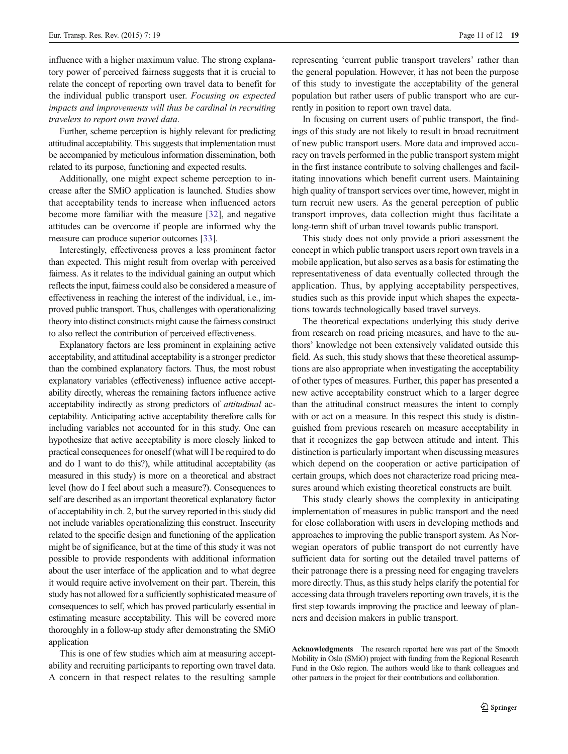influence with a higher maximum value. The strong explanatory power of perceived fairness suggests that it is crucial to relate the concept of reporting own travel data to benefit for the individual public transport user. Focusing on expected impacts and improvements will thus be cardinal in recruiting travelers to report own travel data.

Further, scheme perception is highly relevant for predicting attitudinal acceptability. This suggests that implementation must be accompanied by meticulous information dissemination, both related to its purpose, functioning and expected results.

Additionally, one might expect scheme perception to increase after the SMiO application is launched. Studies show that acceptability tends to increase when influenced actors become more familiar with the measure [\[32\]](#page-11-0), and negative attitudes can be overcome if people are informed why the measure can produce superior outcomes [\[33\]](#page-11-0).

Interestingly, effectiveness proves a less prominent factor than expected. This might result from overlap with perceived fairness. As it relates to the individual gaining an output which reflects the input, fairness could also be considered a measure of effectiveness in reaching the interest of the individual, i.e., improved public transport. Thus, challenges with operationalizing theory into distinct constructs might cause the fairness construct to also reflect the contribution of perceived effectiveness.

Explanatory factors are less prominent in explaining active acceptability, and attitudinal acceptability is a stronger predictor than the combined explanatory factors. Thus, the most robust explanatory variables (effectiveness) influence active acceptability directly, whereas the remaining factors influence active acceptability indirectly as strong predictors of attitudinal acceptability. Anticipating active acceptability therefore calls for including variables not accounted for in this study. One can hypothesize that active acceptability is more closely linked to practical consequences for oneself (what will I be required to do and do I want to do this?), while attitudinal acceptability (as measured in this study) is more on a theoretical and abstract level (how do I feel about such a measure?). Consequences to self are described as an important theoretical explanatory factor of acceptability in ch. 2, but the survey reported in this study did not include variables operationalizing this construct. Insecurity related to the specific design and functioning of the application might be of significance, but at the time of this study it was not possible to provide respondents with additional information about the user interface of the application and to what degree it would require active involvement on their part. Therein, this study has not allowed for a sufficiently sophisticated measure of consequences to self, which has proved particularly essential in estimating measure acceptability. This will be covered more thoroughly in a follow-up study after demonstrating the SMiO application

This is one of few studies which aim at measuring acceptability and recruiting participants to reporting own travel data. A concern in that respect relates to the resulting sample representing 'current public transport travelers' rather than the general population. However, it has not been the purpose of this study to investigate the acceptability of the general population but rather users of public transport who are currently in position to report own travel data.

In focusing on current users of public transport, the findings of this study are not likely to result in broad recruitment of new public transport users. More data and improved accuracy on travels performed in the public transport system might in the first instance contribute to solving challenges and facilitating innovations which benefit current users. Maintaining high quality of transport services over time, however, might in turn recruit new users. As the general perception of public transport improves, data collection might thus facilitate a long-term shift of urban travel towards public transport.

This study does not only provide a priori assessment the concept in which public transport users report own travels in a mobile application, but also serves as a basis for estimating the representativeness of data eventually collected through the application. Thus, by applying acceptability perspectives, studies such as this provide input which shapes the expectations towards technologically based travel surveys.

The theoretical expectations underlying this study derive from research on road pricing measures, and have to the authors' knowledge not been extensively validated outside this field. As such, this study shows that these theoretical assumptions are also appropriate when investigating the acceptability of other types of measures. Further, this paper has presented a new active acceptability construct which to a larger degree than the attitudinal construct measures the intent to comply with or act on a measure. In this respect this study is distinguished from previous research on measure acceptability in that it recognizes the gap between attitude and intent. This distinction is particularly important when discussing measures which depend on the cooperation or active participation of certain groups, which does not characterize road pricing measures around which existing theoretical constructs are built.

This study clearly shows the complexity in anticipating implementation of measures in public transport and the need for close collaboration with users in developing methods and approaches to improving the public transport system. As Norwegian operators of public transport do not currently have sufficient data for sorting out the detailed travel patterns of their patronage there is a pressing need for engaging travelers more directly. Thus, as this study helps clarify the potential for accessing data through travelers reporting own travels, it is the first step towards improving the practice and leeway of planners and decision makers in public transport.

Acknowledgments The research reported here was part of the Smooth Mobility in Oslo (SMiO) project with funding from the Regional Research Fund in the Oslo region. The authors would like to thank colleagues and other partners in the project for their contributions and collaboration.